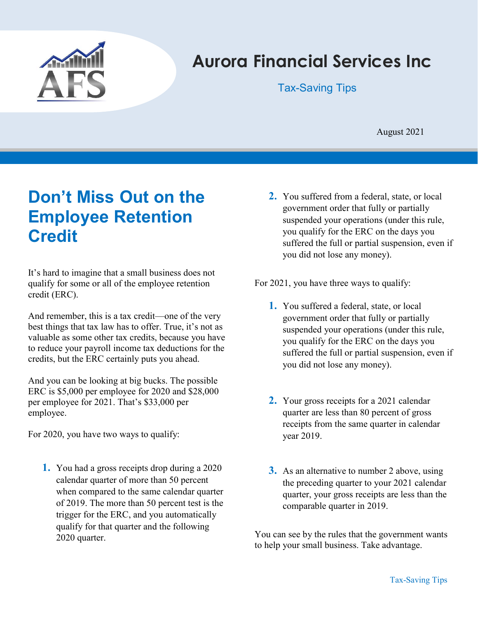

# Aurora Financial Services Inc

Tax-Saving Tips

August 2021

## Don't Miss Out on the Employee Retention **Credit**

It's hard to imagine that a small business does not qualify for some or all of the employee retention credit (ERC).

And remember, this is a tax credit—one of the very best things that tax law has to offer. True, it's not as valuable as some other tax credits, because you have to reduce your payroll income tax deductions for the credits, but the ERC certainly puts you ahead.

And you can be looking at big bucks. The possible ERC is \$5,000 per employee for 2020 and \$28,000 per employee for 2021. That's \$33,000 per employee.

For 2020, you have two ways to qualify:

1. You had a gross receipts drop during a 2020 calendar quarter of more than 50 percent when compared to the same calendar quarter of 2019. The more than 50 percent test is the trigger for the ERC, and you automatically qualify for that quarter and the following 2020 quarter.

2. You suffered from a federal, state, or local government order that fully or partially suspended your operations (under this rule, you qualify for the ERC on the days you suffered the full or partial suspension, even if you did not lose any money).

For 2021, you have three ways to qualify:

- 1. You suffered a federal, state, or local government order that fully or partially suspended your operations (under this rule, you qualify for the ERC on the days you suffered the full or partial suspension, even if you did not lose any money).
- 2. Your gross receipts for a 2021 calendar quarter are less than 80 percent of gross receipts from the same quarter in calendar year 2019.
- **3.** As an alternative to number 2 above, using the preceding quarter to your 2021 calendar quarter, your gross receipts are less than the comparable quarter in 2019.

You can see by the rules that the government wants to help your small business. Take advantage.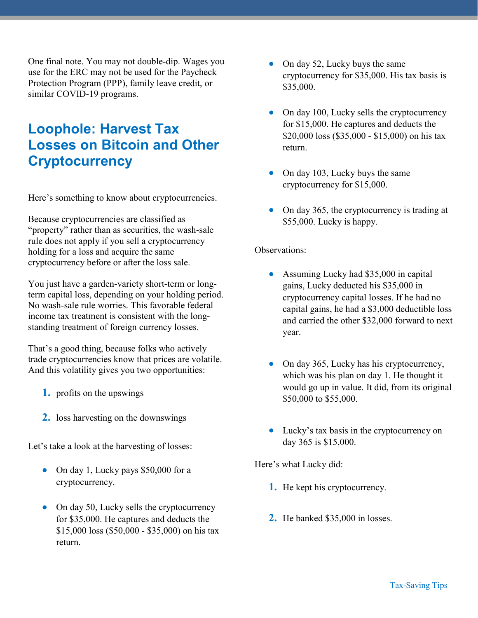One final note. You may not double-dip. Wages you use for the ERC may not be used for the Paycheck Protection Program (PPP), family leave credit, or similar COVID-19 programs.

## Loophole: Harvest Tax Losses on Bitcoin and Other **Cryptocurrency**

Here's something to know about cryptocurrencies.

Because cryptocurrencies are classified as "property" rather than as securities, the wash-sale rule does not apply if you sell a cryptocurrency holding for a loss and acquire the same cryptocurrency before or after the loss sale.

You just have a garden-variety short-term or longterm capital loss, depending on your holding period. No wash-sale rule worries. This favorable federal income tax treatment is consistent with the longstanding treatment of foreign currency losses.

That's a good thing, because folks who actively trade cryptocurrencies know that prices are volatile. And this volatility gives you two opportunities:

- 1. profits on the upswings
- 2. loss harvesting on the downswings

Let's take a look at the harvesting of losses:

- On day 1, Lucky pays \$50,000 for a cryptocurrency.
- On day 50, Lucky sells the cryptocurrency for \$35,000. He captures and deducts the \$15,000 loss (\$50,000 - \$35,000) on his tax return.
- On day 52, Lucky buys the same cryptocurrency for \$35,000. His tax basis is \$35,000.
- On day 100, Lucky sells the cryptocurrency for \$15,000. He captures and deducts the \$20,000 loss (\$35,000 - \$15,000) on his tax return.
- On day 103, Lucky buys the same cryptocurrency for \$15,000.
- On day 365, the cryptocurrency is trading at \$55,000. Lucky is happy.

#### Observations:

- Assuming Lucky had \$35,000 in capital gains, Lucky deducted his \$35,000 in cryptocurrency capital losses. If he had no capital gains, he had a \$3,000 deductible loss and carried the other \$32,000 forward to next year.
- On day 365, Lucky has his cryptocurrency, which was his plan on day 1. He thought it would go up in value. It did, from its original \$50,000 to \$55,000.
- Lucky's tax basis in the cryptocurrency on day 365 is \$15,000.

Here's what Lucky did:

- 1. He kept his cryptocurrency.
- 2. He banked \$35,000 in losses.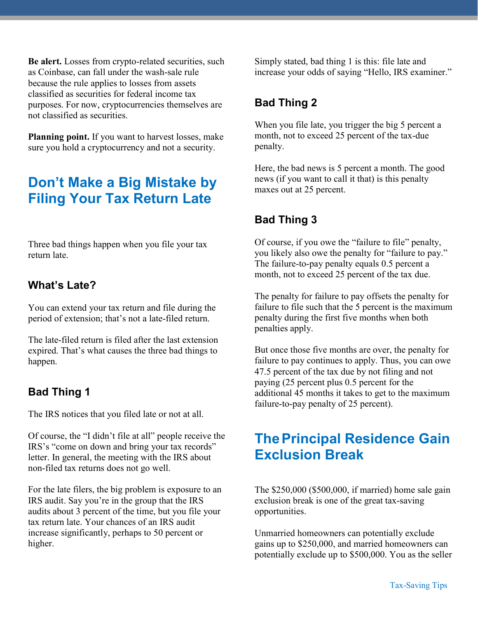Be alert. Losses from crypto-related securities, such as Coinbase, can fall under the wash-sale rule because the rule applies to losses from assets classified as securities for federal income tax purposes. For now, cryptocurrencies themselves are not classified as securities.

Planning point. If you want to harvest losses, make sure you hold a cryptocurrency and not a security.

### Don't Make a Big Mistake by Filing Your Tax Return Late

Three bad things happen when you file your tax return late.

#### What's Late?

You can extend your tax return and file during the period of extension; that's not a late-filed return.

The late-filed return is filed after the last extension expired. That's what causes the three bad things to happen.

#### Bad Thing 1

The IRS notices that you filed late or not at all.

Of course, the "I didn't file at all" people receive the IRS's "come on down and bring your tax records" letter. In general, the meeting with the IRS about non-filed tax returns does not go well.

For the late filers, the big problem is exposure to an IRS audit. Say you're in the group that the IRS audits about 3 percent of the time, but you file your tax return late. Your chances of an IRS audit increase significantly, perhaps to 50 percent or higher.

Simply stated, bad thing 1 is this: file late and increase your odds of saying "Hello, IRS examiner."

#### Bad Thing 2

When you file late, you trigger the big 5 percent a month, not to exceed 25 percent of the tax-due penalty.

Here, the bad news is 5 percent a month. The good news (if you want to call it that) is this penalty maxes out at 25 percent.

### Bad Thing 3

Of course, if you owe the "failure to file" penalty, you likely also owe the penalty for "failure to pay." The failure-to-pay penalty equals 0.5 percent a month, not to exceed 25 percent of the tax due.

The penalty for failure to pay offsets the penalty for failure to file such that the 5 percent is the maximum penalty during the first five months when both penalties apply.

But once those five months are over, the penalty for failure to pay continues to apply. Thus, you can owe 47.5 percent of the tax due by not filing and not paying (25 percent plus 0.5 percent for the additional 45 months it takes to get to the maximum failure-to-pay penalty of 25 percent).

### **The Principal Residence Gain** Exclusion Break

The \$250,000 (\$500,000, if married) home sale gain exclusion break is one of the great tax-saving opportunities.

Unmarried homeowners can potentially exclude gains up to \$250,000, and married homeowners can potentially exclude up to \$500,000. You as the seller